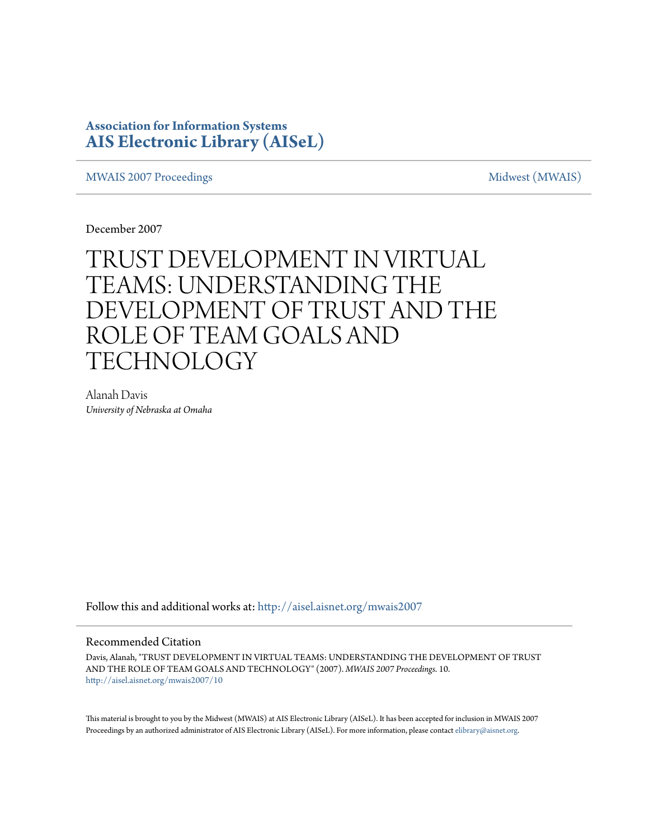## **Association for Information Systems [AIS Electronic Library \(AISeL\)](http://aisel.aisnet.org?utm_source=aisel.aisnet.org%2Fmwais2007%2F10&utm_medium=PDF&utm_campaign=PDFCoverPages)**

[MWAIS 2007 Proceedings](http://aisel.aisnet.org/mwais2007?utm_source=aisel.aisnet.org%2Fmwais2007%2F10&utm_medium=PDF&utm_campaign=PDFCoverPages) and the matrix of the [Midwest \(MWAIS\)](http://aisel.aisnet.org/mwais?utm_source=aisel.aisnet.org%2Fmwais2007%2F10&utm_medium=PDF&utm_campaign=PDFCoverPages)

December 2007

# TRUST DEVELOPMENT IN VIRTUAL TEAMS: UNDERSTANDING THE DEVELOPMENT OF TRUST AND THE ROLE OF TEAM GOALS AND **TECHNOLOGY**

Alanah Davis *University of Nebraska at Omaha*

Follow this and additional works at: [http://aisel.aisnet.org/mwais2007](http://aisel.aisnet.org/mwais2007?utm_source=aisel.aisnet.org%2Fmwais2007%2F10&utm_medium=PDF&utm_campaign=PDFCoverPages)

#### Recommended Citation

Davis, Alanah, "TRUST DEVELOPMENT IN VIRTUAL TEAMS: UNDERSTANDING THE DEVELOPMENT OF TRUST AND THE ROLE OF TEAM GOALS AND TECHNOLOGY" (2007). *MWAIS 2007 Proceedings*. 10. [http://aisel.aisnet.org/mwais2007/10](http://aisel.aisnet.org/mwais2007/10?utm_source=aisel.aisnet.org%2Fmwais2007%2F10&utm_medium=PDF&utm_campaign=PDFCoverPages)

This material is brought to you by the Midwest (MWAIS) at AIS Electronic Library (AISeL). It has been accepted for inclusion in MWAIS 2007 Proceedings by an authorized administrator of AIS Electronic Library (AISeL). For more information, please contact [elibrary@aisnet.org](mailto:elibrary@aisnet.org%3E).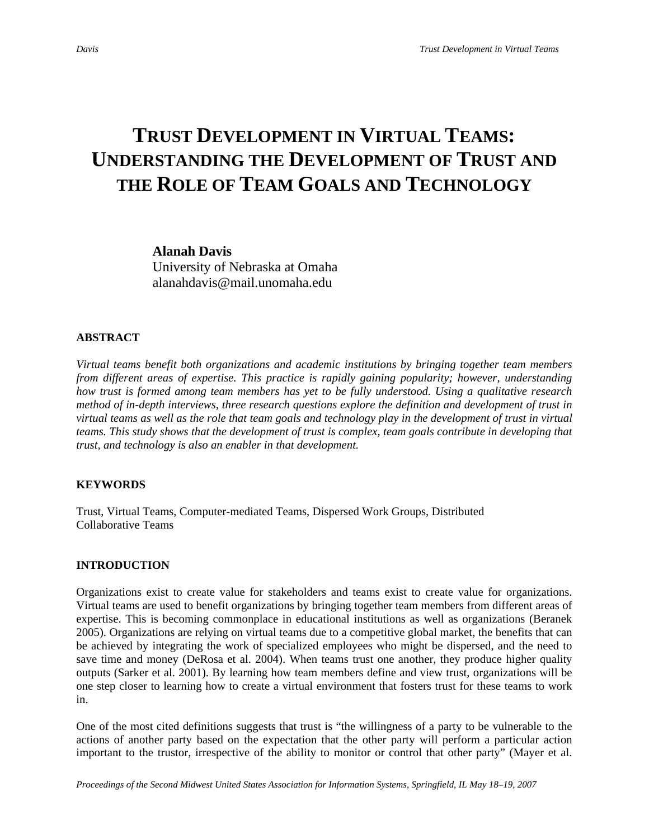## **TRUST DEVELOPMENT IN VIRTUAL TEAMS: UNDERSTANDING THE DEVELOPMENT OF TRUST AND THE ROLE OF TEAM GOALS AND TECHNOLOGY**

#### **Alanah Davis**

University of Nebraska at Omaha alanahdavis@mail.unomaha.edu

#### **ABSTRACT**

*Virtual teams benefit both organizations and academic institutions by bringing together team members from different areas of expertise. This practice is rapidly gaining popularity; however, understanding how trust is formed among team members has yet to be fully understood. Using a qualitative research method of in-depth interviews, three research questions explore the definition and development of trust in virtual teams as well as the role that team goals and technology play in the development of trust in virtual teams. This study shows that the development of trust is complex, team goals contribute in developing that trust, and technology is also an enabler in that development.* 

#### **KEYWORDS**

Trust, Virtual Teams, Computer-mediated Teams, Dispersed Work Groups, Distributed Collaborative Teams

#### **INTRODUCTION**

Organizations exist to create value for stakeholders and teams exist to create value for organizations. Virtual teams are used to benefit organizations by bringing together team members from different areas of expertise. This is becoming commonplace in educational institutions as well as organizations (Beranek 2005). Organizations are relying on virtual teams due to a competitive global market, the benefits that can be achieved by integrating the work of specialized employees who might be dispersed, and the need to save time and money (DeRosa et al. 2004). When teams trust one another, they produce higher quality outputs (Sarker et al. 2001). By learning how team members define and view trust, organizations will be one step closer to learning how to create a virtual environment that fosters trust for these teams to work in.

One of the most cited definitions suggests that trust is "the willingness of a party to be vulnerable to the actions of another party based on the expectation that the other party will perform a particular action important to the trustor, irrespective of the ability to monitor or control that other party" (Mayer et al.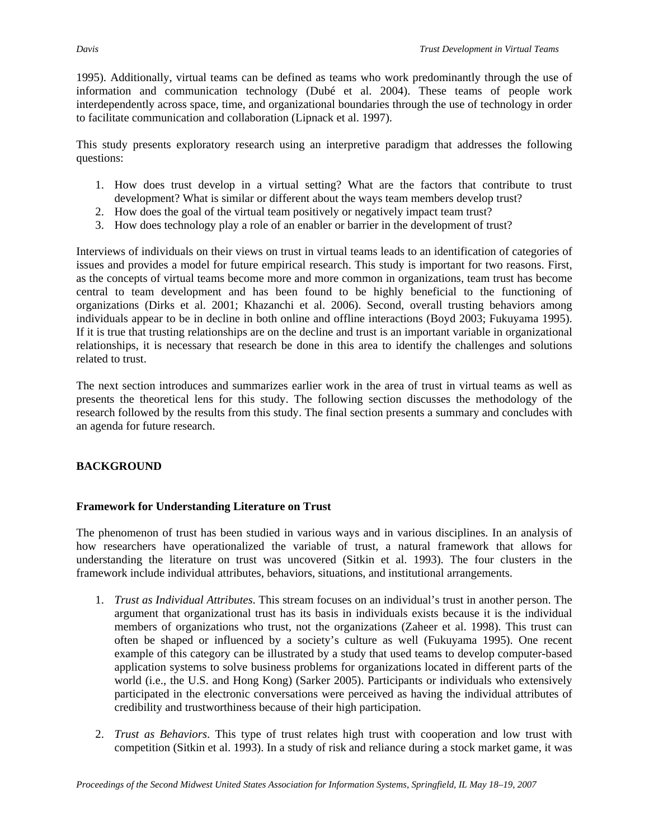1995). Additionally, virtual teams can be defined as teams who work predominantly through the use of information and communication technology (Dubé et al. 2004). These teams of people work interdependently across space, time, and organizational boundaries through the use of technology in order to facilitate communication and collaboration (Lipnack et al. 1997).

This study presents exploratory research using an interpretive paradigm that addresses the following questions:

- 1. How does trust develop in a virtual setting? What are the factors that contribute to trust development? What is similar or different about the ways team members develop trust?
- 2. How does the goal of the virtual team positively or negatively impact team trust?
- 3. How does technology play a role of an enabler or barrier in the development of trust?

Interviews of individuals on their views on trust in virtual teams leads to an identification of categories of issues and provides a model for future empirical research. This study is important for two reasons. First, as the concepts of virtual teams become more and more common in organizations, team trust has become central to team development and has been found to be highly beneficial to the functioning of organizations (Dirks et al. 2001; Khazanchi et al. 2006). Second, overall trusting behaviors among individuals appear to be in decline in both online and offline interactions (Boyd 2003; Fukuyama 1995). If it is true that trusting relationships are on the decline and trust is an important variable in organizational relationships, it is necessary that research be done in this area to identify the challenges and solutions related to trust.

The next section introduces and summarizes earlier work in the area of trust in virtual teams as well as presents the theoretical lens for this study. The following section discusses the methodology of the research followed by the results from this study. The final section presents a summary and concludes with an agenda for future research.

## **BACKGROUND**

#### **Framework for Understanding Literature on Trust**

The phenomenon of trust has been studied in various ways and in various disciplines. In an analysis of how researchers have operationalized the variable of trust, a natural framework that allows for understanding the literature on trust was uncovered (Sitkin et al. 1993). The four clusters in the framework include individual attributes, behaviors, situations, and institutional arrangements.

- 1. *Trust as Individual Attributes*. This stream focuses on an individual's trust in another person. The argument that organizational trust has its basis in individuals exists because it is the individual members of organizations who trust, not the organizations (Zaheer et al. 1998). This trust can often be shaped or influenced by a society's culture as well (Fukuyama 1995). One recent example of this category can be illustrated by a study that used teams to develop computer-based application systems to solve business problems for organizations located in different parts of the world (i.e., the U.S. and Hong Kong) (Sarker 2005). Participants or individuals who extensively participated in the electronic conversations were perceived as having the individual attributes of credibility and trustworthiness because of their high participation.
- 2. *Trust as Behaviors*. This type of trust relates high trust with cooperation and low trust with competition (Sitkin et al. 1993). In a study of risk and reliance during a stock market game, it was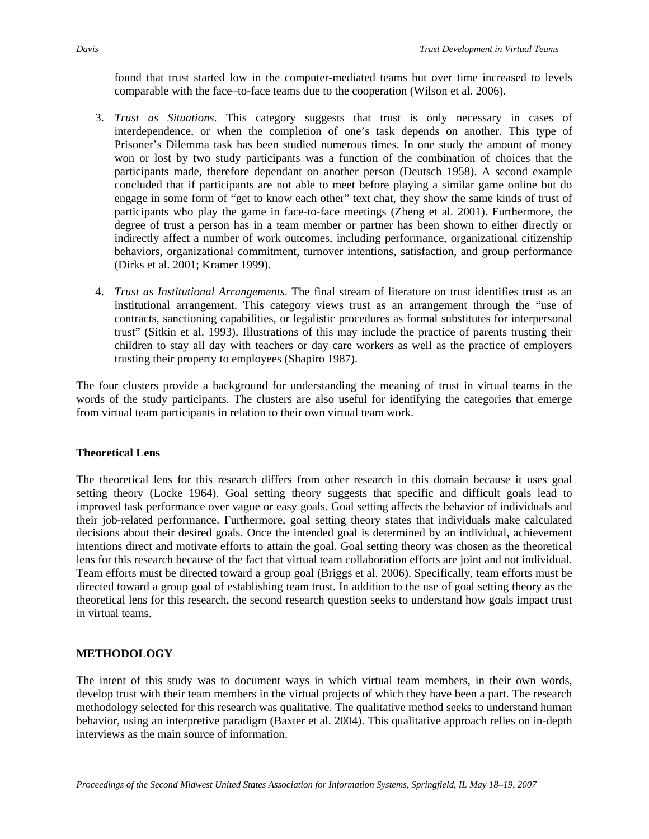found that trust started low in the computer-mediated teams but over time increased to levels comparable with the face–to-face teams due to the cooperation (Wilson et al. 2006).

- 3. *Trust as Situations*. This category suggests that trust is only necessary in cases of interdependence, or when the completion of one's task depends on another. This type of Prisoner's Dilemma task has been studied numerous times. In one study the amount of money won or lost by two study participants was a function of the combination of choices that the participants made, therefore dependant on another person (Deutsch 1958). A second example concluded that if participants are not able to meet before playing a similar game online but do engage in some form of "get to know each other" text chat, they show the same kinds of trust of participants who play the game in face-to-face meetings (Zheng et al. 2001). Furthermore, the degree of trust a person has in a team member or partner has been shown to either directly or indirectly affect a number of work outcomes, including performance, organizational citizenship behaviors, organizational commitment, turnover intentions, satisfaction, and group performance (Dirks et al. 2001; Kramer 1999).
- 4. *Trust as Institutional Arrangements*. The final stream of literature on trust identifies trust as an institutional arrangement. This category views trust as an arrangement through the "use of contracts, sanctioning capabilities, or legalistic procedures as formal substitutes for interpersonal trust" (Sitkin et al. 1993). Illustrations of this may include the practice of parents trusting their children to stay all day with teachers or day care workers as well as the practice of employers trusting their property to employees (Shapiro 1987).

The four clusters provide a background for understanding the meaning of trust in virtual teams in the words of the study participants. The clusters are also useful for identifying the categories that emerge from virtual team participants in relation to their own virtual team work.

#### **Theoretical Lens**

The theoretical lens for this research differs from other research in this domain because it uses goal setting theory (Locke 1964). Goal setting theory suggests that specific and difficult goals lead to improved task performance over vague or easy goals. Goal setting affects the behavior of individuals and their job-related performance. Furthermore, goal setting theory states that individuals make calculated decisions about their desired goals. Once the intended goal is determined by an individual, achievement intentions direct and motivate efforts to attain the goal. Goal setting theory was chosen as the theoretical lens for this research because of the fact that virtual team collaboration efforts are joint and not individual. Team efforts must be directed toward a group goal (Briggs et al. 2006). Specifically, team efforts must be directed toward a group goal of establishing team trust. In addition to the use of goal setting theory as the theoretical lens for this research, the second research question seeks to understand how goals impact trust in virtual teams.

#### **METHODOLOGY**

The intent of this study was to document ways in which virtual team members, in their own words, develop trust with their team members in the virtual projects of which they have been a part. The research methodology selected for this research was qualitative. The qualitative method seeks to understand human behavior, using an interpretive paradigm (Baxter et al. 2004). This qualitative approach relies on in-depth interviews as the main source of information.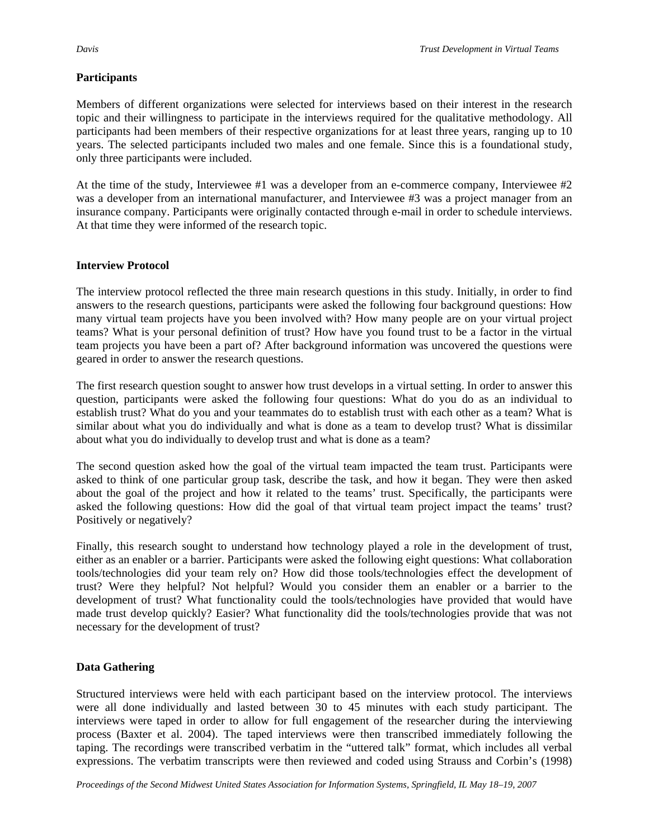### **Participants**

Members of different organizations were selected for interviews based on their interest in the research topic and their willingness to participate in the interviews required for the qualitative methodology. All participants had been members of their respective organizations for at least three years, ranging up to 10 years. The selected participants included two males and one female. Since this is a foundational study, only three participants were included.

At the time of the study, Interviewee #1 was a developer from an e-commerce company, Interviewee #2 was a developer from an international manufacturer, and Interviewee #3 was a project manager from an insurance company. Participants were originally contacted through e-mail in order to schedule interviews. At that time they were informed of the research topic.

#### **Interview Protocol**

The interview protocol reflected the three main research questions in this study. Initially, in order to find answers to the research questions, participants were asked the following four background questions: How many virtual team projects have you been involved with? How many people are on your virtual project teams? What is your personal definition of trust? How have you found trust to be a factor in the virtual team projects you have been a part of? After background information was uncovered the questions were geared in order to answer the research questions.

The first research question sought to answer how trust develops in a virtual setting. In order to answer this question, participants were asked the following four questions: What do you do as an individual to establish trust? What do you and your teammates do to establish trust with each other as a team? What is similar about what you do individually and what is done as a team to develop trust? What is dissimilar about what you do individually to develop trust and what is done as a team?

The second question asked how the goal of the virtual team impacted the team trust. Participants were asked to think of one particular group task, describe the task, and how it began. They were then asked about the goal of the project and how it related to the teams' trust. Specifically, the participants were asked the following questions: How did the goal of that virtual team project impact the teams' trust? Positively or negatively?

Finally, this research sought to understand how technology played a role in the development of trust, either as an enabler or a barrier. Participants were asked the following eight questions: What collaboration tools/technologies did your team rely on? How did those tools/technologies effect the development of trust? Were they helpful? Not helpful? Would you consider them an enabler or a barrier to the development of trust? What functionality could the tools/technologies have provided that would have made trust develop quickly? Easier? What functionality did the tools/technologies provide that was not necessary for the development of trust?

## **Data Gathering**

Structured interviews were held with each participant based on the interview protocol. The interviews were all done individually and lasted between 30 to 45 minutes with each study participant. The interviews were taped in order to allow for full engagement of the researcher during the interviewing process (Baxter et al. 2004). The taped interviews were then transcribed immediately following the taping. The recordings were transcribed verbatim in the "uttered talk" format, which includes all verbal expressions. The verbatim transcripts were then reviewed and coded using Strauss and Corbin's (1998)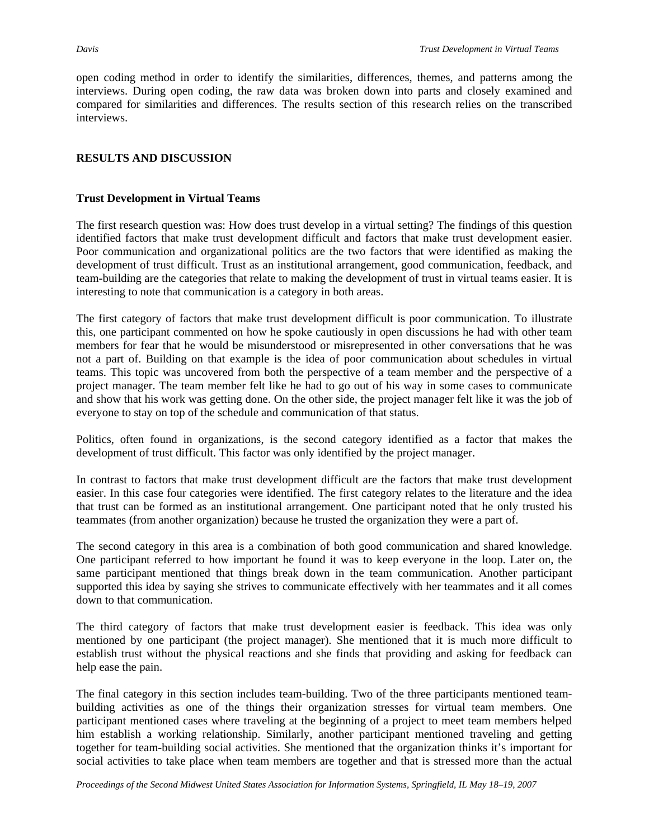open coding method in order to identify the similarities, differences, themes, and patterns among the interviews. During open coding, the raw data was broken down into parts and closely examined and compared for similarities and differences. The results section of this research relies on the transcribed interviews.

## **RESULTS AND DISCUSSION**

## **Trust Development in Virtual Teams**

The first research question was: How does trust develop in a virtual setting? The findings of this question identified factors that make trust development difficult and factors that make trust development easier. Poor communication and organizational politics are the two factors that were identified as making the development of trust difficult. Trust as an institutional arrangement, good communication, feedback, and team-building are the categories that relate to making the development of trust in virtual teams easier. It is interesting to note that communication is a category in both areas.

The first category of factors that make trust development difficult is poor communication. To illustrate this, one participant commented on how he spoke cautiously in open discussions he had with other team members for fear that he would be misunderstood or misrepresented in other conversations that he was not a part of. Building on that example is the idea of poor communication about schedules in virtual teams. This topic was uncovered from both the perspective of a team member and the perspective of a project manager. The team member felt like he had to go out of his way in some cases to communicate and show that his work was getting done. On the other side, the project manager felt like it was the job of everyone to stay on top of the schedule and communication of that status.

Politics, often found in organizations, is the second category identified as a factor that makes the development of trust difficult. This factor was only identified by the project manager.

In contrast to factors that make trust development difficult are the factors that make trust development easier. In this case four categories were identified. The first category relates to the literature and the idea that trust can be formed as an institutional arrangement. One participant noted that he only trusted his teammates (from another organization) because he trusted the organization they were a part of.

The second category in this area is a combination of both good communication and shared knowledge. One participant referred to how important he found it was to keep everyone in the loop. Later on, the same participant mentioned that things break down in the team communication. Another participant supported this idea by saying she strives to communicate effectively with her teammates and it all comes down to that communication.

The third category of factors that make trust development easier is feedback. This idea was only mentioned by one participant (the project manager). She mentioned that it is much more difficult to establish trust without the physical reactions and she finds that providing and asking for feedback can help ease the pain.

The final category in this section includes team-building. Two of the three participants mentioned teambuilding activities as one of the things their organization stresses for virtual team members. One participant mentioned cases where traveling at the beginning of a project to meet team members helped him establish a working relationship. Similarly, another participant mentioned traveling and getting together for team-building social activities. She mentioned that the organization thinks it's important for social activities to take place when team members are together and that is stressed more than the actual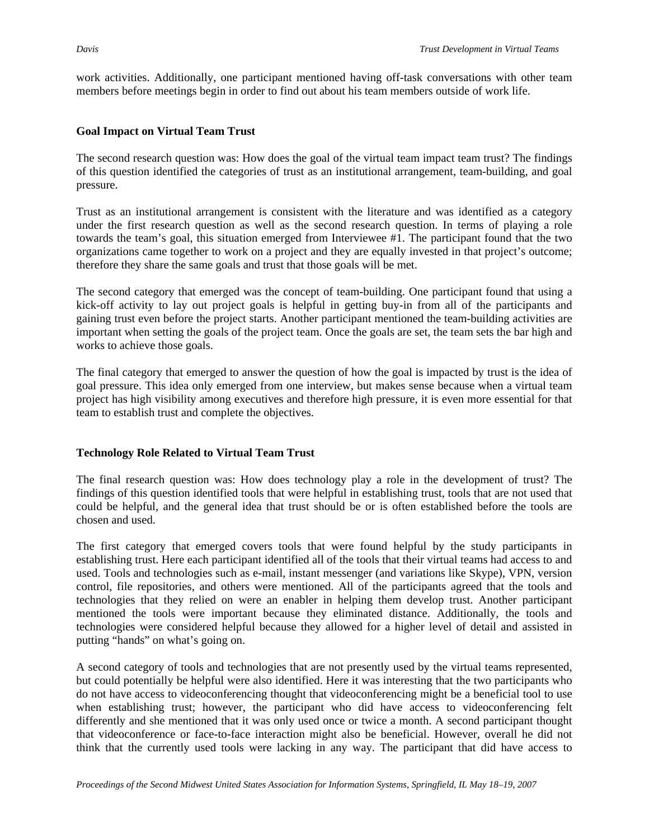work activities. Additionally, one participant mentioned having off-task conversations with other team members before meetings begin in order to find out about his team members outside of work life.

#### **Goal Impact on Virtual Team Trust**

The second research question was: How does the goal of the virtual team impact team trust? The findings of this question identified the categories of trust as an institutional arrangement, team-building, and goal pressure.

Trust as an institutional arrangement is consistent with the literature and was identified as a category under the first research question as well as the second research question. In terms of playing a role towards the team's goal, this situation emerged from Interviewee #1. The participant found that the two organizations came together to work on a project and they are equally invested in that project's outcome; therefore they share the same goals and trust that those goals will be met.

The second category that emerged was the concept of team-building. One participant found that using a kick-off activity to lay out project goals is helpful in getting buy-in from all of the participants and gaining trust even before the project starts. Another participant mentioned the team-building activities are important when setting the goals of the project team. Once the goals are set, the team sets the bar high and works to achieve those goals.

The final category that emerged to answer the question of how the goal is impacted by trust is the idea of goal pressure. This idea only emerged from one interview, but makes sense because when a virtual team project has high visibility among executives and therefore high pressure, it is even more essential for that team to establish trust and complete the objectives.

#### **Technology Role Related to Virtual Team Trust**

The final research question was: How does technology play a role in the development of trust? The findings of this question identified tools that were helpful in establishing trust, tools that are not used that could be helpful, and the general idea that trust should be or is often established before the tools are chosen and used.

The first category that emerged covers tools that were found helpful by the study participants in establishing trust. Here each participant identified all of the tools that their virtual teams had access to and used. Tools and technologies such as e-mail, instant messenger (and variations like Skype), VPN, version control, file repositories, and others were mentioned. All of the participants agreed that the tools and technologies that they relied on were an enabler in helping them develop trust. Another participant mentioned the tools were important because they eliminated distance. Additionally, the tools and technologies were considered helpful because they allowed for a higher level of detail and assisted in putting "hands" on what's going on.

A second category of tools and technologies that are not presently used by the virtual teams represented, but could potentially be helpful were also identified. Here it was interesting that the two participants who do not have access to videoconferencing thought that videoconferencing might be a beneficial tool to use when establishing trust; however, the participant who did have access to videoconferencing felt differently and she mentioned that it was only used once or twice a month. A second participant thought that videoconference or face-to-face interaction might also be beneficial. However, overall he did not think that the currently used tools were lacking in any way. The participant that did have access to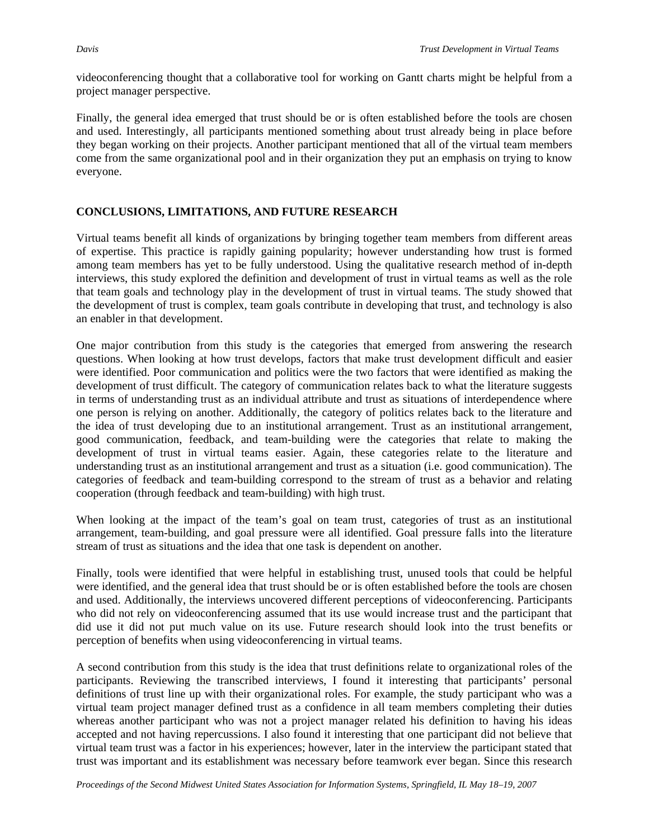videoconferencing thought that a collaborative tool for working on Gantt charts might be helpful from a project manager perspective.

Finally, the general idea emerged that trust should be or is often established before the tools are chosen and used. Interestingly, all participants mentioned something about trust already being in place before they began working on their projects. Another participant mentioned that all of the virtual team members come from the same organizational pool and in their organization they put an emphasis on trying to know everyone.

#### **CONCLUSIONS, LIMITATIONS, AND FUTURE RESEARCH**

Virtual teams benefit all kinds of organizations by bringing together team members from different areas of expertise. This practice is rapidly gaining popularity; however understanding how trust is formed among team members has yet to be fully understood. Using the qualitative research method of in-depth interviews, this study explored the definition and development of trust in virtual teams as well as the role that team goals and technology play in the development of trust in virtual teams. The study showed that the development of trust is complex, team goals contribute in developing that trust, and technology is also an enabler in that development.

One major contribution from this study is the categories that emerged from answering the research questions. When looking at how trust develops, factors that make trust development difficult and easier were identified. Poor communication and politics were the two factors that were identified as making the development of trust difficult. The category of communication relates back to what the literature suggests in terms of understanding trust as an individual attribute and trust as situations of interdependence where one person is relying on another. Additionally, the category of politics relates back to the literature and the idea of trust developing due to an institutional arrangement. Trust as an institutional arrangement, good communication, feedback, and team-building were the categories that relate to making the development of trust in virtual teams easier. Again, these categories relate to the literature and understanding trust as an institutional arrangement and trust as a situation (i.e. good communication). The categories of feedback and team-building correspond to the stream of trust as a behavior and relating cooperation (through feedback and team-building) with high trust.

When looking at the impact of the team's goal on team trust, categories of trust as an institutional arrangement, team-building, and goal pressure were all identified. Goal pressure falls into the literature stream of trust as situations and the idea that one task is dependent on another.

Finally, tools were identified that were helpful in establishing trust, unused tools that could be helpful were identified, and the general idea that trust should be or is often established before the tools are chosen and used. Additionally, the interviews uncovered different perceptions of videoconferencing. Participants who did not rely on videoconferencing assumed that its use would increase trust and the participant that did use it did not put much value on its use. Future research should look into the trust benefits or perception of benefits when using videoconferencing in virtual teams.

A second contribution from this study is the idea that trust definitions relate to organizational roles of the participants. Reviewing the transcribed interviews, I found it interesting that participants' personal definitions of trust line up with their organizational roles. For example, the study participant who was a virtual team project manager defined trust as a confidence in all team members completing their duties whereas another participant who was not a project manager related his definition to having his ideas accepted and not having repercussions. I also found it interesting that one participant did not believe that virtual team trust was a factor in his experiences; however, later in the interview the participant stated that trust was important and its establishment was necessary before teamwork ever began. Since this research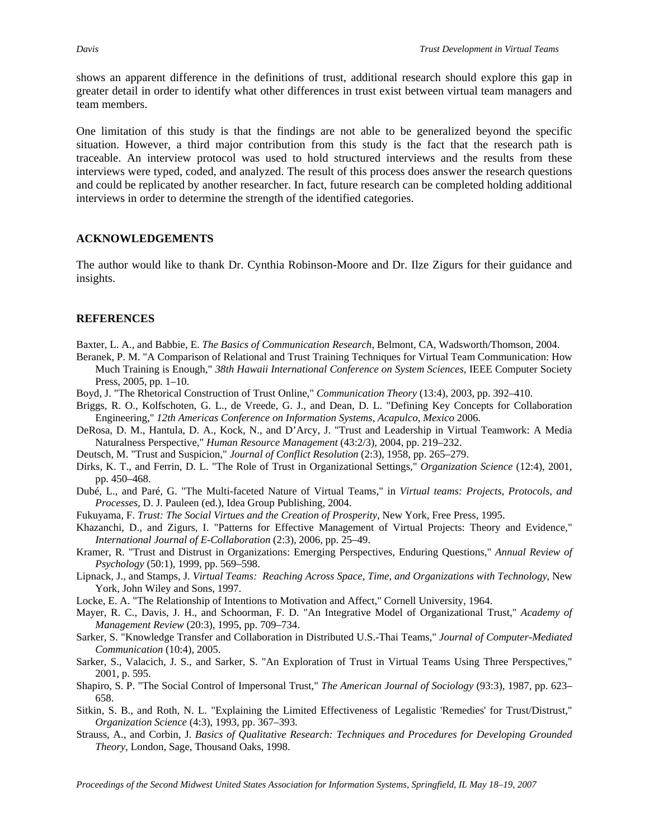shows an apparent difference in the definitions of trust, additional research should explore this gap in greater detail in order to identify what other differences in trust exist between virtual team managers and team members.

One limitation of this study is that the findings are not able to be generalized beyond the specific situation. However, a third major contribution from this study is the fact that the research path is traceable. An interview protocol was used to hold structured interviews and the results from these interviews were typed, coded, and analyzed. The result of this process does answer the research questions and could be replicated by another researcher. In fact, future research can be completed holding additional interviews in order to determine the strength of the identified categories.

#### **ACKNOWLEDGEMENTS**

The author would like to thank Dr. Cynthia Robinson-Moore and Dr. Ilze Zigurs for their guidance and insights.

#### **REFERENCES**

- Baxter, L. A., and Babbie, E. *The Basics of Communication Research*, Belmont, CA, Wadsworth/Thomson, 2004.
- Beranek, P. M. "A Comparison of Relational and Trust Training Techniques for Virtual Team Communication: How Much Training is Enough," *38th Hawaii International Conference on System Sciences*, IEEE Computer Society Press, 2005, pp. 1–10.
- Boyd, J. "The Rhetorical Construction of Trust Online," *Communication Theory* (13:4), 2003, pp. 392–410.
- Briggs, R. O., Kolfschoten, G. L., de Vreede, G. J., and Dean, D. L. "Defining Key Concepts for Collaboration Engineering," *12th Americas Conference on Information Systems*, *Acapulco*, *Mexico* 2006.
- DeRosa, D. M., Hantula, D. A., Kock, N., and D'Arcy, J. "Trust and Leadership in Virtual Teamwork: A Media Naturalness Perspective," *Human Resource Management* (43:2/3), 2004, pp. 219–232.
- Deutsch, M. "Trust and Suspicion," *Journal of Conflict Resolution* (2:3), 1958, pp. 265–279.
- Dirks, K. T., and Ferrin, D. L. "The Role of Trust in Organizational Settings," *Organization Science* (12:4), 2001, pp. 450–468.
- Dubé, L., and Paré, G. "The Multi-faceted Nature of Virtual Teams," in *Virtual teams: Projects, Protocols, and Processes,* D. J. Pauleen (ed.), Idea Group Publishing, 2004.
- Fukuyama, F. *Trust: The Social Virtues and the Creation of Prosperity*, New York, Free Press, 1995.
- Khazanchi, D., and Zigurs, I. "Patterns for Effective Management of Virtual Projects: Theory and Evidence," *International Journal of E-Collaboration* (2:3), 2006, pp. 25–49.
- Kramer, R. "Trust and Distrust in Organizations: Emerging Perspectives, Enduring Questions," *Annual Review of Psychology* (50:1), 1999, pp. 569–598.
- Lipnack, J., and Stamps, J. *Virtual Teams: Reaching Across Space, Time, and Organizations with Technology*, New York, John Wiley and Sons, 1997.
- Locke, E. A. "The Relationship of Intentions to Motivation and Affect," Cornell University, 1964.
- Mayer, R. C., Davis, J. H., and Schoorman, F. D. "An Integrative Model of Organizational Trust," *Academy of Management Review* (20:3), 1995, pp. 709–734.
- Sarker, S. "Knowledge Transfer and Collaboration in Distributed U.S.-Thai Teams," *Journal of Computer-Mediated Communication* (10:4), 2005.
- Sarker, S., Valacich, J. S., and Sarker, S. "An Exploration of Trust in Virtual Teams Using Three Perspectives," 2001, p. 595.
- Shapiro, S. P. "The Social Control of Impersonal Trust," *The American Journal of Sociology* (93:3), 1987, pp. 623– 658.
- Sitkin, S. B., and Roth, N. L. "Explaining the Limited Effectiveness of Legalistic 'Remedies' for Trust/Distrust," *Organization Science* (4:3), 1993, pp. 367–393.
- Strauss, A., and Corbin, J. *Basics of Qualitative Research: Techniques and Procedures for Developing Grounded Theory*, London, Sage, Thousand Oaks, 1998.